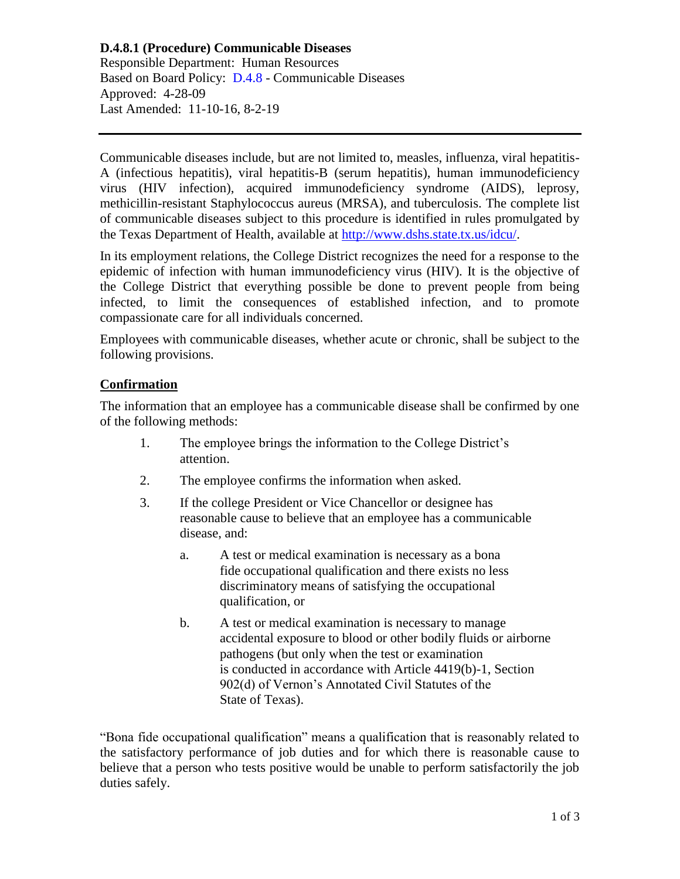# **D.4.8.1 (Procedure) Communicable Diseases**

Responsible Department: Human Resources Based on Board Policy: [D.4.8](https://www.alamo.edu/siteassets/district/about-us/leadership/board-of-trustees/policies-pdfs/section-d/d.4.8-policy.pdf) - Communicable Diseases Approved: 4-28-09 Last Amended: 11-10-16, 8-2-19

Communicable diseases include, but are not limited to, measles, influenza, viral hepatitis-A (infectious hepatitis), viral hepatitis-B (serum hepatitis), human immunodeficiency virus (HIV infection), acquired immunodeficiency syndrome (AIDS), leprosy, methicillin-resistant Staphylococcus aureus (MRSA), and tuberculosis. The complete list of communicable diseases subject to this procedure is identified in rules promulgated by the Texas Department of Health, available at [http://www.dshs.state.tx.us/idcu/.](http://www.dshs.state.tx.us/idcu/)

In its employment relations, the College District recognizes the need for a response to the epidemic of infection with human immunodeficiency virus (HIV). It is the objective of the College District that everything possible be done to prevent people from being infected, to limit the consequences of established infection, and to promote compassionate care for all individuals concerned.

Employees with communicable diseases, whether acute or chronic, shall be subject to the following provisions.

### **Confirmation**

The information that an employee has a communicable disease shall be confirmed by one of the following methods:

- 1. The employee brings the information to the College District's attention.
- 2. The employee confirms the information when asked.
- 3. If the college President or Vice Chancellor or designee has reasonable cause to believe that an employee has a communicable disease, and:
	- a. A test or medical examination is necessary as a bona fide occupational qualification and there exists no less discriminatory means of satisfying the occupational qualification, or
	- b. A test or medical examination is necessary to manage accidental exposure to blood or other bodily fluids or airborne pathogens (but only when the test or examination is conducted in accordance with Article 4419(b)-1, Section 902(d) of Vernon's Annotated Civil Statutes of the State of Texas).

"Bona fide occupational qualification" means a qualification that is reasonably related to the satisfactory performance of job duties and for which there is reasonable cause to believe that a person who tests positive would be unable to perform satisfactorily the job duties safely.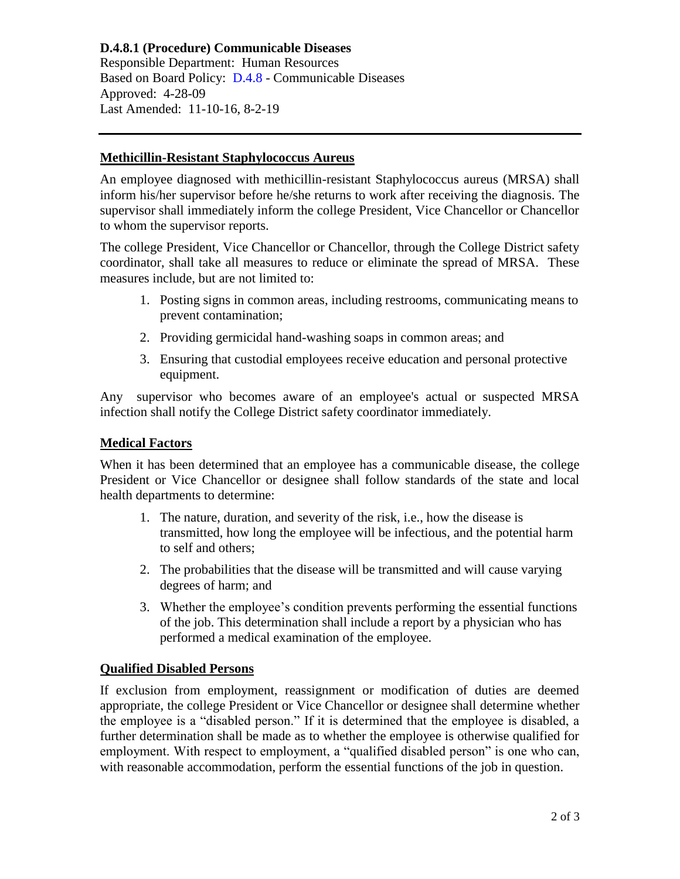# **D.4.8.1 (Procedure) Communicable Diseases** Responsible Department: Human Resources Based on Board Policy: [D.4.8](https://www.alamo.edu/siteassets/district/about-us/leadership/board-of-trustees/policies-pdfs/section-d/d.4.8-policy.pdf) - Communicable Diseases Approved: 4-28-09 Last Amended: 11-10-16, 8-2-19

### **Methicillin-Resistant Staphylococcus Aureus**

An employee diagnosed with methicillin-resistant Staphylococcus aureus (MRSA) shall inform his/her supervisor before he/she returns to work after receiving the diagnosis. The supervisor shall immediately inform the college President, Vice Chancellor or Chancellor to whom the supervisor reports.

The college President, Vice Chancellor or Chancellor, through the College District safety coordinator, shall take all measures to reduce or eliminate the spread of MRSA. These measures include, but are not limited to:

- 1. Posting signs in common areas, including restrooms, communicating means to prevent contamination;
- 2. Providing germicidal hand-washing soaps in common areas; and
- 3. Ensuring that custodial employees receive education and personal protective equipment.

Any supervisor who becomes aware of an employee's actual or suspected MRSA infection shall notify the College District safety coordinator immediately.

### **Medical Factors**

When it has been determined that an employee has a communicable disease, the college President or Vice Chancellor or designee shall follow standards of the state and local health departments to determine:

- 1. The nature, duration, and severity of the risk, i.e., how the disease is transmitted, how long the employee will be infectious, and the potential harm to self and others;
- 2. The probabilities that the disease will be transmitted and will cause varying degrees of harm; and
- 3. Whether the employee's condition prevents performing the essential functions of the job. This determination shall include a report by a physician who has performed a medical examination of the employee.

# **Qualified Disabled Persons**

If exclusion from employment, reassignment or modification of duties are deemed appropriate, the college President or Vice Chancellor or designee shall determine whether the employee is a "disabled person." If it is determined that the employee is disabled, a further determination shall be made as to whether the employee is otherwise qualified for employment. With respect to employment, a "qualified disabled person" is one who can, with reasonable accommodation, perform the essential functions of the job in question.